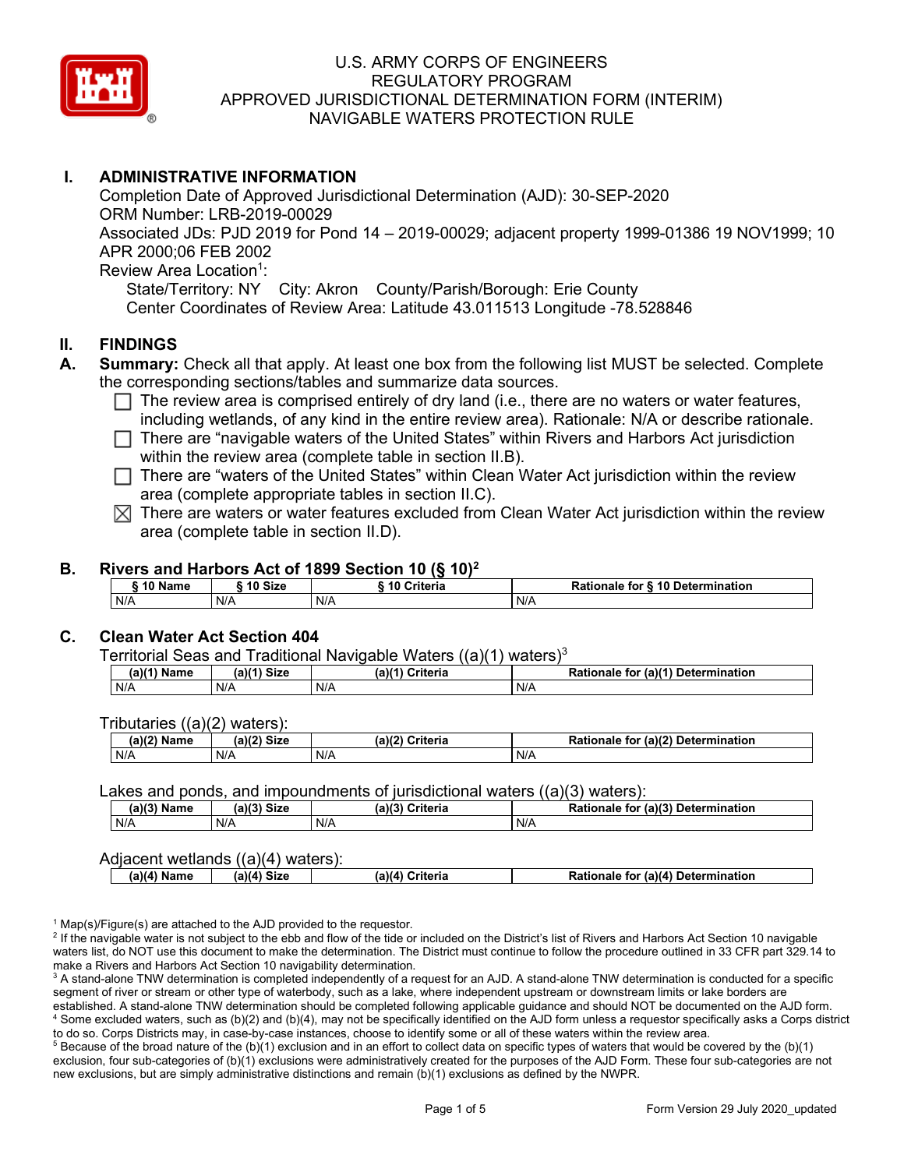

# **I. ADMINISTRATIVE INFORMATION**

Completion Date of Approved Jurisdictional Determination (AJD): 30-SEP-2020 ORM Number: LRB-2019-00029 Associated JDs: PJD 2019 for Pond 14 – 2019-00029; adjacent property 1999-01386 19 NOV1999; 10 APR 2000;06 FEB 2002 Review Area Location<sup>1</sup>:

State/Territory: NY City: Akron County/Parish/Borough: Erie County Center Coordinates of Review Area: Latitude 43.011513 Longitude -78.528846

## **II. FINDINGS**

- **A. Summary:** Check all that apply. At least one box from the following list MUST be selected. Complete the corresponding sections/tables and summarize data sources.
	- $\Box$  The review area is comprised entirely of dry land (i.e., there are no waters or water features, including wetlands, of any kind in the entire review area). Rationale: N/A or describe rationale.
	- There are "navigable waters of the United States" within Rivers and Harbors Act jurisdiction within the review area (complete table in section II.B).
	- $\Box$  There are "waters of the United States" within Clean Water Act jurisdiction within the review area (complete appropriate tables in section II.C).
	- $\boxtimes$  There are waters or water features excluded from Clean Water Act jurisdiction within the review area (complete table in section II.D).

## **B. Rivers and Harbors Act of 1899 Section 10 (§ 10)2**

| ີ <sup>1</sup> 0Name | $\degree$ 10 Size | -----------<br>___<br>10 Criteria | Rationale for § 10 Determination |
|----------------------|-------------------|-----------------------------------|----------------------------------|
| N/A                  | N/A               | N/A                               | N/A                              |

#### **C. Clean Water Act Section 404**

Territorial Seas and Traditional Navigable Waters  $((a)(1)$  waters)<sup>3</sup>

| (a)(1) Name | $1 - 111$<br><b>Siz</b><br>av | (a)<br>?riteria<br>ята | (a)(1) Detern<br>Dation<br>mination<br>for<br>naie |
|-------------|-------------------------------|------------------------|----------------------------------------------------|
| N/A         | N/A                           | N/A                    | N/F                                                |

Tributaries ((a)(2) waters):

| (a)(2)<br>Name | (a)(2)<br>Size | (a)(2)<br>Criteria | Rationale<br>$\cdot$ (a)(2)<br><b>Determination</b><br>for |
|----------------|----------------|--------------------|------------------------------------------------------------|
| N/A            | N/A            | N/A                | N/A                                                        |

#### Lakes and ponds, and impoundments of jurisdictional waters  $((a)(3)$  waters):

| <b>1)(3) Name</b> | (a)/2<br><b>Size</b> | (a)(3)<br>Criteria | $($ a)(3 $)$<br><b>Determination</b><br>Rationale<br>tor |
|-------------------|----------------------|--------------------|----------------------------------------------------------|
| N/A               | N/A                  | N/A                | N/A                                                      |

#### Adjacent wetlands ((a)(4) waters):

| a)(4'<br>Name | Size<br>۱۵۱٬۵۰ | a)(4)<br>Criteria | Rationale for (a)(4) Determination |
|---------------|----------------|-------------------|------------------------------------|
|               |                |                   |                                    |

 $1$  Map(s)/Figure(s) are attached to the AJD provided to the requestor.

<sup>2</sup> If the navigable water is not subject to the ebb and flow of the tide or included on the District's list of Rivers and Harbors Act Section 10 navigable waters list, do NOT use this document to make the determination. The District must continue to follow the procedure outlined in 33 CFR part 329.14 to make a Rivers and Harbors Act Section 10 navigability determination.

<sup>3</sup> A stand-alone TNW determination is completed independently of a request for an AJD. A stand-alone TNW determination is conducted for a specific segment of river or stream or other type of waterbody, such as a lake, where independent upstream or downstream limits or lake borders are established. A stand-alone TNW determination should be completed following applicable guidance and should NOT be documented on the AJD form. <sup>4</sup> Some excluded waters, such as (b)(2) and (b)(4), may not be specifically identified on the AJD form unless a requestor specifically asks a Corps district to do so. Corps Districts may, in case-by-case instances, choose to identify some or all of these waters within the review area.

 $5$  Because of the broad nature of the (b)(1) exclusion and in an effort to collect data on specific types of waters that would be covered by the (b)(1) exclusion, four sub-categories of (b)(1) exclusions were administratively created for the purposes of the AJD Form. These four sub-categories are not new exclusions, but are simply administrative distinctions and remain (b)(1) exclusions as defined by the NWPR.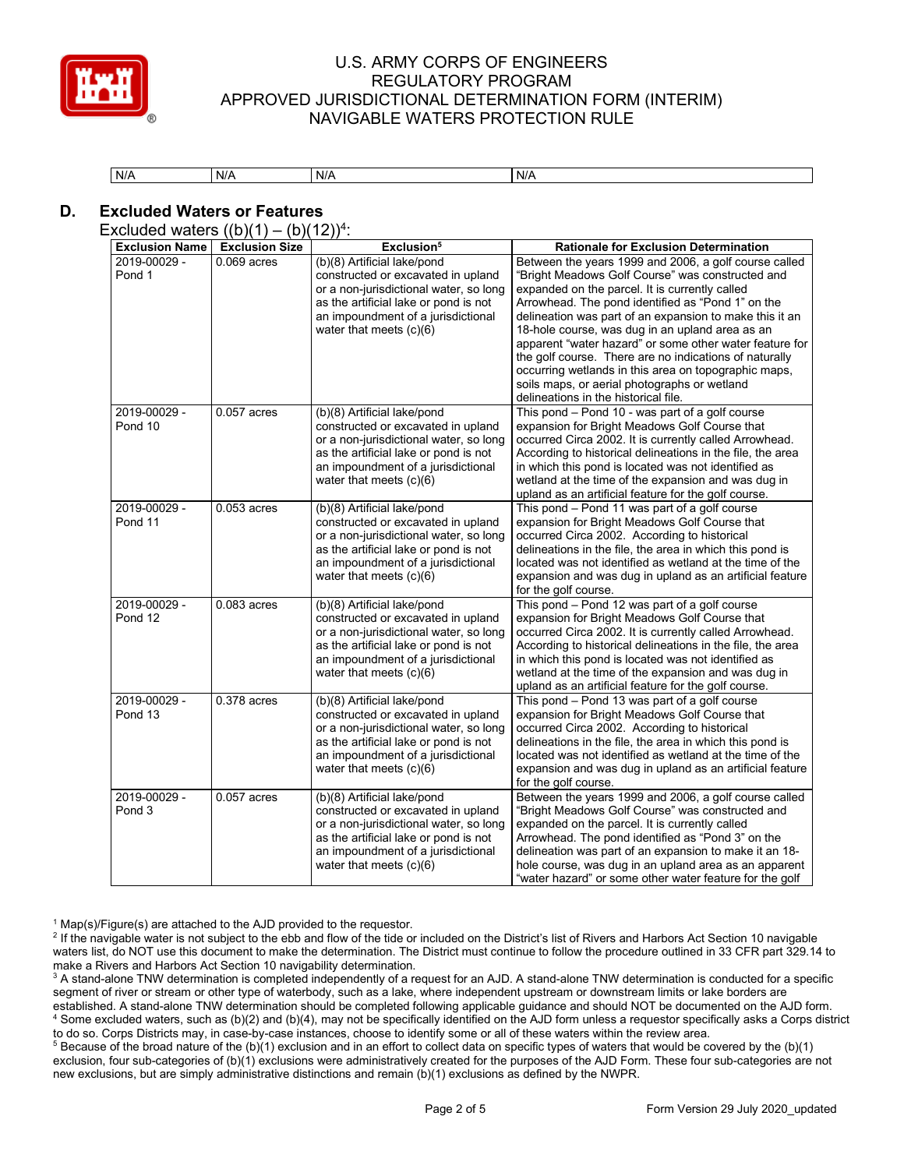

| N/A | N/A | $\cdots$<br>N/A | N/A |
|-----|-----|-----------------|-----|

# **D. Excluded Waters or Features**

Excluded waters  $((b)(1) - (b)(12))^4$ :

| <b>Exclusion Name</b>             | <b>Exclusion Size</b> | Exclusion <sup>5</sup>                                                                                                                                                                                                  | <b>Rationale for Exclusion Determination</b>                                                                                                                                                                                                                                                                                                                                                                                                                                                                                                                                                        |
|-----------------------------------|-----------------------|-------------------------------------------------------------------------------------------------------------------------------------------------------------------------------------------------------------------------|-----------------------------------------------------------------------------------------------------------------------------------------------------------------------------------------------------------------------------------------------------------------------------------------------------------------------------------------------------------------------------------------------------------------------------------------------------------------------------------------------------------------------------------------------------------------------------------------------------|
| 2019-00029 -<br>Pond 1            | $0.069$ acres         | (b)(8) Artificial lake/pond<br>constructed or excavated in upland<br>or a non-jurisdictional water, so long<br>as the artificial lake or pond is not<br>an impoundment of a jurisdictional<br>water that meets $(c)(6)$ | Between the years 1999 and 2006, a golf course called<br>"Bright Meadows Golf Course" was constructed and<br>expanded on the parcel. It is currently called<br>Arrowhead. The pond identified as "Pond 1" on the<br>delineation was part of an expansion to make this it an<br>18-hole course, was dug in an upland area as an<br>apparent "water hazard" or some other water feature for<br>the golf course. There are no indications of naturally<br>occurring wetlands in this area on topographic maps,<br>soils maps, or aerial photographs or wetland<br>delineations in the historical file. |
| 2019-00029 -<br>Pond 10           | $0.057$ acres         | (b)(8) Artificial lake/pond<br>constructed or excavated in upland<br>or a non-jurisdictional water, so long<br>as the artificial lake or pond is not<br>an impoundment of a jurisdictional<br>water that meets $(c)(6)$ | This pond - Pond 10 - was part of a golf course<br>expansion for Bright Meadows Golf Course that<br>occurred Circa 2002. It is currently called Arrowhead.<br>According to historical delineations in the file, the area<br>in which this pond is located was not identified as<br>wetland at the time of the expansion and was dug in<br>upland as an artificial feature for the golf course.                                                                                                                                                                                                      |
| 2019-00029 -<br>Pond 11           | $0.053$ acres         | (b)(8) Artificial lake/pond<br>constructed or excavated in upland<br>or a non-jurisdictional water, so long<br>as the artificial lake or pond is not<br>an impoundment of a jurisdictional<br>water that meets $(c)(6)$ | This pond - Pond 11 was part of a golf course<br>expansion for Bright Meadows Golf Course that<br>occurred Circa 2002. According to historical<br>delineations in the file, the area in which this pond is<br>located was not identified as wetland at the time of the<br>expansion and was dug in upland as an artificial feature<br>for the golf course.                                                                                                                                                                                                                                          |
| 2019-00029 -<br>Pond 12           | 0.083 acres           | (b)(8) Artificial lake/pond<br>constructed or excavated in upland<br>or a non-jurisdictional water, so long<br>as the artificial lake or pond is not<br>an impoundment of a jurisdictional<br>water that meets $(c)(6)$ | This pond - Pond 12 was part of a golf course<br>expansion for Bright Meadows Golf Course that<br>occurred Circa 2002. It is currently called Arrowhead.<br>According to historical delineations in the file, the area<br>in which this pond is located was not identified as<br>wetland at the time of the expansion and was dug in<br>upland as an artificial feature for the golf course.                                                                                                                                                                                                        |
| 2019-00029 -<br>Pond 13           | 0.378 acres           | (b)(8) Artificial lake/pond<br>constructed or excavated in upland<br>or a non-jurisdictional water, so long<br>as the artificial lake or pond is not<br>an impoundment of a jurisdictional<br>water that meets $(c)(6)$ | This pond – Pond 13 was part of a golf course<br>expansion for Bright Meadows Golf Course that<br>occurred Circa 2002. According to historical<br>delineations in the file, the area in which this pond is<br>located was not identified as wetland at the time of the<br>expansion and was dug in upland as an artificial feature<br>for the golf course.                                                                                                                                                                                                                                          |
| 2019-00029 -<br>Pond <sub>3</sub> | $0.057$ acres         | (b)(8) Artificial lake/pond<br>constructed or excavated in upland<br>or a non-jurisdictional water, so long<br>as the artificial lake or pond is not<br>an impoundment of a jurisdictional<br>water that meets $(c)(6)$ | Between the years 1999 and 2006, a golf course called<br>"Bright Meadows Golf Course" was constructed and<br>expanded on the parcel. It is currently called<br>Arrowhead. The pond identified as "Pond 3" on the<br>delineation was part of an expansion to make it an 18-<br>hole course, was dug in an upland area as an apparent<br>"water hazard" or some other water feature for the golf                                                                                                                                                                                                      |

 $1$  Map(s)/Figure(s) are attached to the AJD provided to the requestor.

<sup>2</sup> If the navigable water is not subject to the ebb and flow of the tide or included on the District's list of Rivers and Harbors Act Section 10 navigable waters list, do NOT use this document to make the determination. The District must continue to follow the procedure outlined in 33 CFR part 329.14 to make a Rivers and Harbors Act Section 10 navigability determination.

<sup>3</sup> A stand-alone TNW determination is completed independently of a request for an AJD. A stand-alone TNW determination is conducted for a specific segment of river or stream or other type of waterbody, such as a lake, where independent upstream or downstream limits or lake borders are established. A stand-alone TNW determination should be completed following applicable guidance and should NOT be documented on the AJD form. <sup>4</sup> Some excluded waters, such as (b)(2) and (b)(4), may not be specifically identified on the AJD form unless a requestor specifically asks a Corps district to do so. Corps Districts may, in case-by-case instances, choose to identify some or all of these waters within the review area.

<sup>5</sup> Because of the broad nature of the (b)(1) exclusion and in an effort to collect data on specific types of waters that would be covered by the (b)(1) exclusion, four sub-categories of (b)(1) exclusions were administratively created for the purposes of the AJD Form. These four sub-categories are not new exclusions, but are simply administrative distinctions and remain (b)(1) exclusions as defined by the NWPR.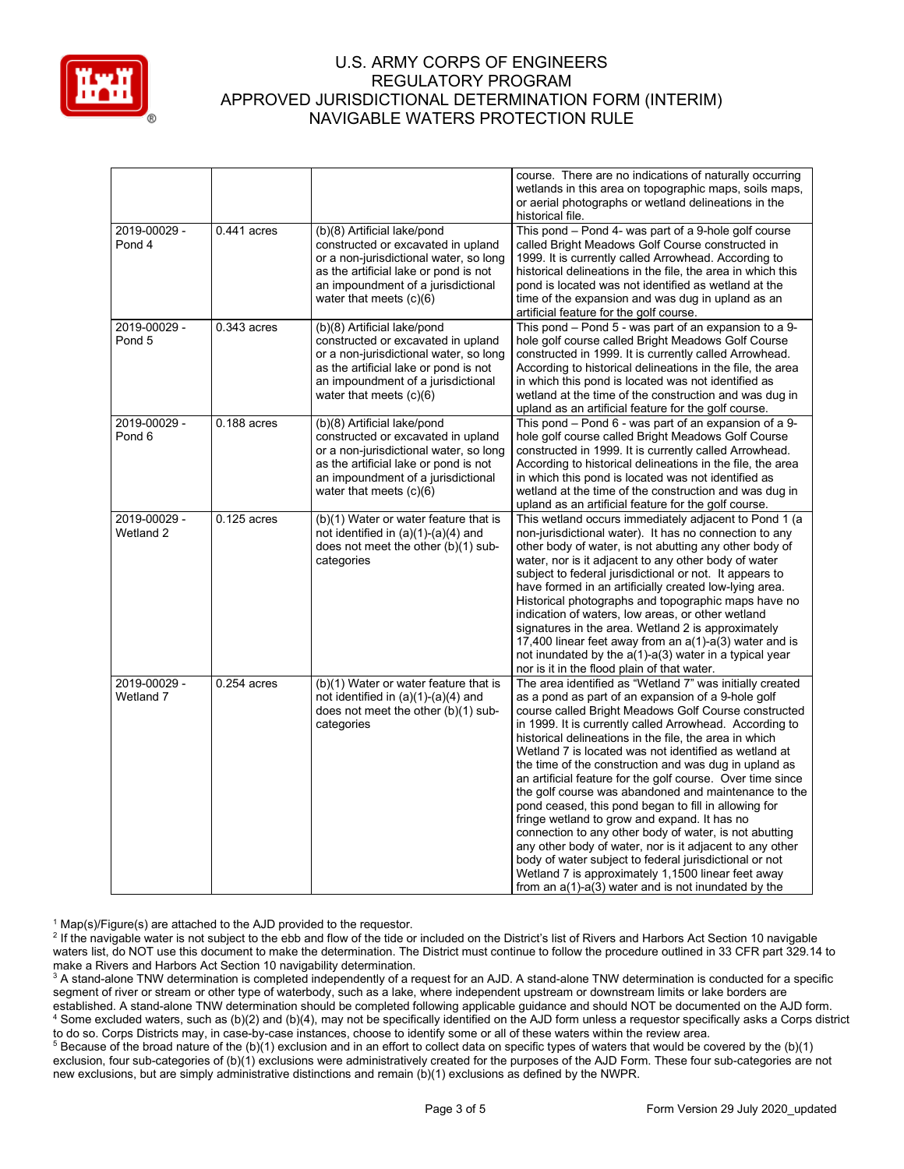

|                                   |               |                                                                                                                                                                                                                         | course. There are no indications of naturally occurring<br>wetlands in this area on topographic maps, soils maps,<br>or aerial photographs or wetland delineations in the                                                                                                                                                                                                                                                                                                                                                                                                                                                                                                                                                                                                                                                                                                                                                                      |
|-----------------------------------|---------------|-------------------------------------------------------------------------------------------------------------------------------------------------------------------------------------------------------------------------|------------------------------------------------------------------------------------------------------------------------------------------------------------------------------------------------------------------------------------------------------------------------------------------------------------------------------------------------------------------------------------------------------------------------------------------------------------------------------------------------------------------------------------------------------------------------------------------------------------------------------------------------------------------------------------------------------------------------------------------------------------------------------------------------------------------------------------------------------------------------------------------------------------------------------------------------|
| 2019-00029 -                      | $0.441$ acres | (b)(8) Artificial lake/pond                                                                                                                                                                                             | historical file.<br>This pond - Pond 4- was part of a 9-hole golf course                                                                                                                                                                                                                                                                                                                                                                                                                                                                                                                                                                                                                                                                                                                                                                                                                                                                       |
| Pond 4                            |               | constructed or excavated in upland<br>or a non-jurisdictional water, so long<br>as the artificial lake or pond is not<br>an impoundment of a jurisdictional<br>water that meets $(c)(6)$                                | called Bright Meadows Golf Course constructed in<br>1999. It is currently called Arrowhead. According to<br>historical delineations in the file, the area in which this<br>pond is located was not identified as wetland at the<br>time of the expansion and was dug in upland as an<br>artificial feature for the golf course.                                                                                                                                                                                                                                                                                                                                                                                                                                                                                                                                                                                                                |
| 2019-00029 -<br>Pond <sub>5</sub> | $0.343$ acres | (b)(8) Artificial lake/pond<br>constructed or excavated in upland<br>or a non-jurisdictional water, so long<br>as the artificial lake or pond is not<br>an impoundment of a jurisdictional<br>water that meets $(c)(6)$ | This pond - Pond 5 - was part of an expansion to a 9-<br>hole golf course called Bright Meadows Golf Course<br>constructed in 1999. It is currently called Arrowhead.<br>According to historical delineations in the file, the area<br>in which this pond is located was not identified as<br>wetland at the time of the construction and was dug in<br>upland as an artificial feature for the golf course.                                                                                                                                                                                                                                                                                                                                                                                                                                                                                                                                   |
| 2019-00029 -<br>Pond 6            | $0.188$ acres | (b)(8) Artificial lake/pond<br>constructed or excavated in upland<br>or a non-jurisdictional water, so long<br>as the artificial lake or pond is not<br>an impoundment of a jurisdictional<br>water that meets $(c)(6)$ | This pond – Pond 6 - was part of an expansion of a 9-<br>hole golf course called Bright Meadows Golf Course<br>constructed in 1999. It is currently called Arrowhead.<br>According to historical delineations in the file, the area<br>in which this pond is located was not identified as<br>wetland at the time of the construction and was dug in<br>upland as an artificial feature for the golf course.                                                                                                                                                                                                                                                                                                                                                                                                                                                                                                                                   |
| 2019-00029 -<br>Wetland 2         | $0.125$ acres | (b)(1) Water or water feature that is<br>not identified in $(a)(1)-(a)(4)$ and<br>does not meet the other (b)(1) sub-<br>categories                                                                                     | This wetland occurs immediately adjacent to Pond 1 (a<br>non-jurisdictional water). It has no connection to any<br>other body of water, is not abutting any other body of<br>water, nor is it adjacent to any other body of water<br>subject to federal jurisdictional or not. It appears to<br>have formed in an artificially created low-lying area.<br>Historical photographs and topographic maps have no<br>indication of waters, low areas, or other wetland<br>signatures in the area. Wetland 2 is approximately<br>17,400 linear feet away from an a(1)-a(3) water and is<br>not inundated by the $a(1)$ - $a(3)$ water in a typical year<br>nor is it in the flood plain of that water.                                                                                                                                                                                                                                              |
| 2019-00029 -<br>Wetland 7         | $0.254$ acres | (b)(1) Water or water feature that is<br>not identified in $(a)(1)-(a)(4)$ and<br>does not meet the other $(b)(1)$ sub-<br>categories                                                                                   | The area identified as "Wetland 7" was initially created<br>as a pond as part of an expansion of a 9-hole golf<br>course called Bright Meadows Golf Course constructed<br>in 1999. It is currently called Arrowhead. According to<br>historical delineations in the file, the area in which<br>Wetland 7 is located was not identified as wetland at<br>the time of the construction and was dug in upland as<br>an artificial feature for the golf course. Over time since<br>the golf course was abandoned and maintenance to the<br>pond ceased, this pond began to fill in allowing for<br>fringe wetland to grow and expand. It has no<br>connection to any other body of water, is not abutting<br>any other body of water, nor is it adjacent to any other<br>body of water subject to federal jurisdictional or not<br>Wetland 7 is approximately 1,1500 linear feet away<br>from an $a(1)$ - $a(3)$ water and is not inundated by the |

 $1$  Map(s)/Figure(s) are attached to the AJD provided to the requestor.

<sup>2</sup> If the navigable water is not subject to the ebb and flow of the tide or included on the District's list of Rivers and Harbors Act Section 10 navigable waters list, do NOT use this document to make the determination. The District must continue to follow the procedure outlined in 33 CFR part 329.14 to make a Rivers and Harbors Act Section 10 navigability determination.

<sup>3</sup> A stand-alone TNW determination is completed independently of a request for an AJD. A stand-alone TNW determination is conducted for a specific segment of river or stream or other type of waterbody, such as a lake, where independent upstream or downstream limits or lake borders are established. A stand-alone TNW determination should be completed following applicable guidance and should NOT be documented on the AJD form. <sup>4</sup> Some excluded waters, such as (b)(2) and (b)(4), may not be specifically identified on the AJD form unless a requestor specifically asks a Corps district to do so. Corps Districts may, in case-by-case instances, choose to identify some or all of these waters within the review area.

<sup>5</sup> Because of the broad nature of the (b)(1) exclusion and in an effort to collect data on specific types of waters that would be covered by the (b)(1) exclusion, four sub-categories of (b)(1) exclusions were administratively created for the purposes of the AJD Form. These four sub-categories are not new exclusions, but are simply administrative distinctions and remain (b)(1) exclusions as defined by the NWPR.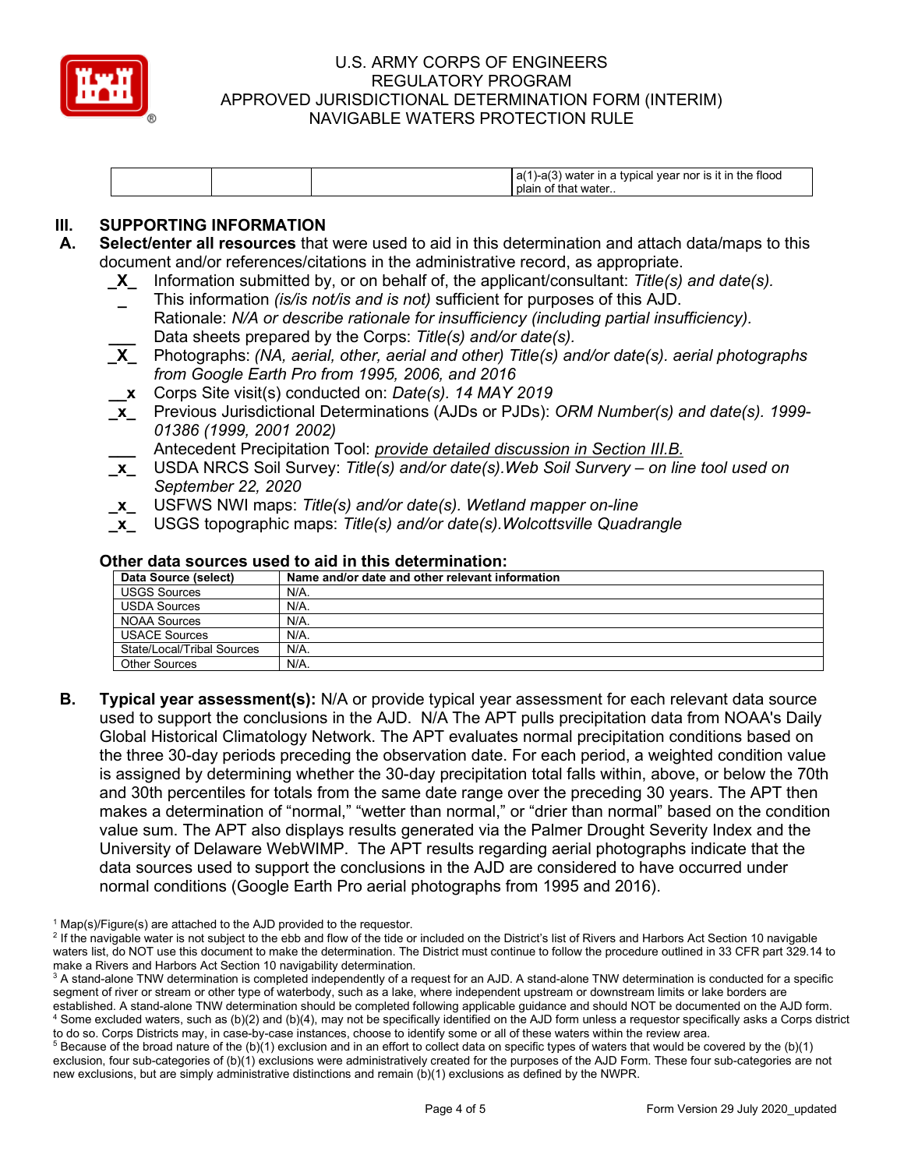

|  | $-a(3)$<br>) water in a typical year nor is it in the flood<br>a(′<br>that water<br>plain of |
|--|----------------------------------------------------------------------------------------------|
|--|----------------------------------------------------------------------------------------------|

# **III.** SUPPORTING INFORMATION<br>**A.** Select/enter all resources that

- **A. Select/enter all resources** that were used to aid in this determination and attach data/maps to this document and/or references/citations in the administrative record, as appropriate.
	- **\_X\_** Information submitted by, or on behalf of, the applicant/consultant: *Title(s) and date(s).*
	- **\_** This information *(is/is not/is and is not)* sufficient for purposes of this AJD. Rationale: *N/A or describe rationale for insufficiency (including partial insufficiency).* **\_\_\_** Data sheets prepared by the Corps: *Title(s) and/or date(s).*
	- **\_X\_** Photographs: *(NA, aerial, other, aerial and other) Title(s) and/or date(s). aerial photographs from Google Earth Pro from 1995, 2006, and 2016*
	- **\_\_x** Corps Site visit(s) conducted on: *Date(s). 14 MAY 2019*
	- **\_x\_** Previous Jurisdictional Determinations (AJDs or PJDs): *ORM Number(s) and date(s). 1999- 01386 (1999, 2001 2002)* 
		- **\_\_\_** Antecedent Precipitation Tool: *provide detailed discussion in Section III.B.*
	- **\_x\_** USDA NRCS Soil Survey: *Title(s) and/or date(s).Web Soil Survery – on line tool used on September 22, 2020*
	- **\_x\_** USFWS NWI maps: *Title(s) and/or date(s). Wetland mapper on-line*
	- **\_x\_** USGS topographic maps: *Title(s) and/or date(s).Wolcottsville Quadrangle*

| Data Source (select)       | Name and/or date and other relevant information |  |
|----------------------------|-------------------------------------------------|--|
| <b>USGS Sources</b>        | N/A.                                            |  |
| <b>USDA Sources</b>        | N/A.                                            |  |
| <b>NOAA Sources</b>        | N/A.                                            |  |
| <b>USACE Sources</b>       | $N/A$ .                                         |  |
| State/Local/Tribal Sources | N/A.                                            |  |
| Other Sources              | $N/A$ .                                         |  |

#### **Other data sources used to aid in this determination:**

**B. Typical year assessment(s):** N/A or provide typical year assessment for each relevant data source used to support the conclusions in the AJD. N/A The APT pulls precipitation data from NOAA's Daily Global Historical Climatology Network. The APT evaluates normal precipitation conditions based on the three 30-day periods preceding the observation date. For each period, a weighted condition value is assigned by determining whether the 30-day precipitation total falls within, above, or below the 70th and 30th percentiles for totals from the same date range over the preceding 30 years. The APT then makes a determination of "normal," "wetter than normal," or "drier than normal" based on the condition value sum. The APT also displays results generated via the Palmer Drought Severity Index and the University of Delaware WebWIMP. The APT results regarding aerial photographs indicate that the data sources used to support the conclusions in the AJD are considered to have occurred under normal conditions (Google Earth Pro aerial photographs from 1995 and 2016).

 $1$  Map(s)/Figure(s) are attached to the AJD provided to the requestor.

<sup>&</sup>lt;sup>2</sup> If the navigable water is not subject to the ebb and flow of the tide or included on the District's list of Rivers and Harbors Act Section 10 navigable waters list, do NOT use this document to make the determination. The District must continue to follow the procedure outlined in 33 CFR part 329.14 to make a Rivers and Harbors Act Section 10 navigability determination.

<sup>&</sup>lt;sup>3</sup> A stand-alone TNW determination is completed independently of a request for an AJD. A stand-alone TNW determination is conducted for a specific segment of river or stream or other type of waterbody, such as a lake, where independent upstream or downstream limits or lake borders are established. A stand-alone TNW determination should be completed following applicable guidance and should NOT be documented on the AJD form. <sup>4</sup> Some excluded waters, such as (b)(2) and (b)(4), may not be specifically identified on the AJD form unless a requestor specifically asks a Corps district to do so. Corps Districts may, in case-by-case instances, choose to identify some or all of these waters within the review area.

 $5$  Because of the broad nature of the (b)(1) exclusion and in an effort to collect data on specific types of waters that would be covered by the (b)(1) exclusion, four sub-categories of (b)(1) exclusions were administratively created for the purposes of the AJD Form. These four sub-categories are not new exclusions, but are simply administrative distinctions and remain (b)(1) exclusions as defined by the NWPR.